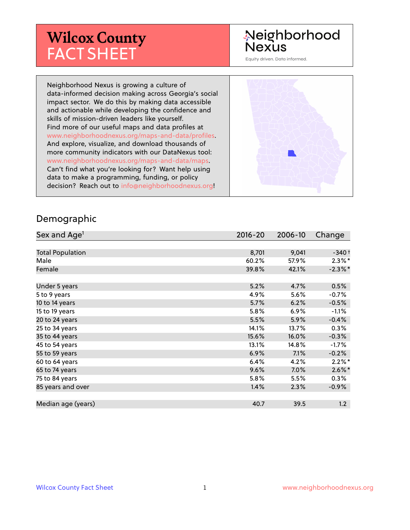# **Wilcox County** FACT SHEET

# Neighborhood Nexus

Equity driven. Data informed.

Neighborhood Nexus is growing a culture of data-informed decision making across Georgia's social impact sector. We do this by making data accessible and actionable while developing the confidence and skills of mission-driven leaders like yourself. Find more of our useful maps and data profiles at www.neighborhoodnexus.org/maps-and-data/profiles. And explore, visualize, and download thousands of more community indicators with our DataNexus tool: www.neighborhoodnexus.org/maps-and-data/maps. Can't find what you're looking for? Want help using data to make a programming, funding, or policy decision? Reach out to [info@neighborhoodnexus.org!](mailto:info@neighborhoodnexus.org)



#### Demographic

| Sex and Age <sup>1</sup> | $2016 - 20$ | 2006-10 | Change     |
|--------------------------|-------------|---------|------------|
|                          |             |         |            |
| <b>Total Population</b>  | 8,701       | 9,041   | $-340+$    |
| Male                     | 60.2%       | 57.9%   | $2.3\%$ *  |
| Female                   | 39.8%       | 42.1%   | $-2.3\%$ * |
|                          |             |         |            |
| Under 5 years            | 5.2%        | 4.7%    | 0.5%       |
| 5 to 9 years             | 4.9%        | 5.6%    | $-0.7\%$   |
| 10 to 14 years           | 5.7%        | 6.2%    | $-0.5%$    |
| 15 to 19 years           | 5.8%        | $6.9\%$ | $-1.1%$    |
| 20 to 24 years           | 5.5%        | 5.9%    | $-0.4%$    |
| 25 to 34 years           | 14.1%       | 13.7%   | 0.3%       |
| 35 to 44 years           | 15.6%       | 16.0%   | $-0.3%$    |
| 45 to 54 years           | 13.1%       | 14.8%   | $-1.7\%$   |
| 55 to 59 years           | 6.9%        | 7.1%    | $-0.2%$    |
| 60 to 64 years           | 6.4%        | 4.2%    | $2.2\%$ *  |
| 65 to 74 years           | 9.6%        | $7.0\%$ | $2.6\%$ *  |
| 75 to 84 years           | 5.8%        | 5.5%    | 0.3%       |
| 85 years and over        | 1.4%        | 2.3%    | $-0.9\%$   |
|                          |             |         |            |
| Median age (years)       | 40.7        | 39.5    | 1.2        |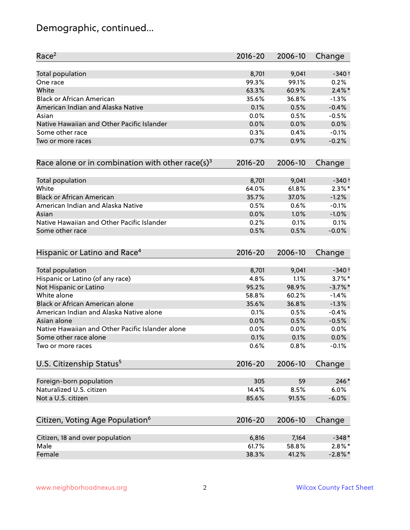# Demographic, continued...

| Race <sup>2</sup>                                            | $2016 - 20$ | 2006-10 | Change     |
|--------------------------------------------------------------|-------------|---------|------------|
| <b>Total population</b>                                      | 8,701       | 9,041   | $-340+$    |
| One race                                                     | 99.3%       | 99.1%   | 0.2%       |
| White                                                        | 63.3%       | 60.9%   | $2.4\%$ *  |
| <b>Black or African American</b>                             | 35.6%       | 36.8%   | $-1.3%$    |
| American Indian and Alaska Native                            | 0.1%        | 0.5%    | $-0.4%$    |
| Asian                                                        | 0.0%        | 0.5%    | $-0.5%$    |
| Native Hawaiian and Other Pacific Islander                   | 0.0%        | 0.0%    | 0.0%       |
| Some other race                                              | 0.3%        | 0.4%    | $-0.1%$    |
| Two or more races                                            | 0.7%        | 0.9%    | $-0.2%$    |
| Race alone or in combination with other race(s) <sup>3</sup> | $2016 - 20$ | 2006-10 | Change     |
| Total population                                             | 8,701       | 9,041   | $-340+$    |
| White                                                        | 64.0%       | 61.8%   | $2.3\%$ *  |
| <b>Black or African American</b>                             | 35.7%       | 37.0%   | $-1.2%$    |
| American Indian and Alaska Native                            | 0.5%        | 0.6%    | $-0.1%$    |
| Asian                                                        | 0.0%        | 1.0%    | $-1.0%$    |
| Native Hawaiian and Other Pacific Islander                   | 0.2%        | 0.1%    | 0.1%       |
| Some other race                                              | 0.5%        | 0.5%    | $-0.0%$    |
| Hispanic or Latino and Race <sup>4</sup>                     | $2016 - 20$ | 2006-10 | Change     |
| <b>Total population</b>                                      | 8,701       | 9,041   | $-340+$    |
| Hispanic or Latino (of any race)                             | 4.8%        | 1.1%    | $3.7\%$ *  |
| Not Hispanic or Latino                                       | 95.2%       | 98.9%   | $-3.7\%$ * |
| White alone                                                  | 58.8%       | 60.2%   | $-1.4%$    |
| Black or African American alone                              | 35.6%       | 36.8%   | $-1.3%$    |
| American Indian and Alaska Native alone                      | 0.1%        | 0.5%    | $-0.4%$    |
| Asian alone                                                  | 0.0%        | 0.5%    | $-0.5%$    |
| Native Hawaiian and Other Pacific Islander alone             | 0.0%        | 0.0%    | 0.0%       |
| Some other race alone                                        | 0.1%        | 0.1%    | 0.0%       |
| Two or more races                                            | 0.6%        | 0.8%    | $-0.1%$    |
| U.S. Citizenship Status <sup>5</sup>                         | $2016 - 20$ | 2006-10 | Change     |
| Foreign-born population                                      | 305         | 59      | $246*$     |
| Naturalized U.S. citizen                                     | 14.4%       | 8.5%    | 6.0%       |
| Not a U.S. citizen                                           | 85.6%       | 91.5%   | $-6.0%$    |
| Citizen, Voting Age Population <sup>6</sup>                  | $2016 - 20$ | 2006-10 | Change     |
|                                                              | 6,816       | 7,164   | $-348*$    |
| Citizen, 18 and over population<br>Male                      | 61.7%       | 58.8%   | $2.8\%$ *  |
| Female                                                       | 38.3%       |         | $-2.8%$ *  |
|                                                              |             | 41.2%   |            |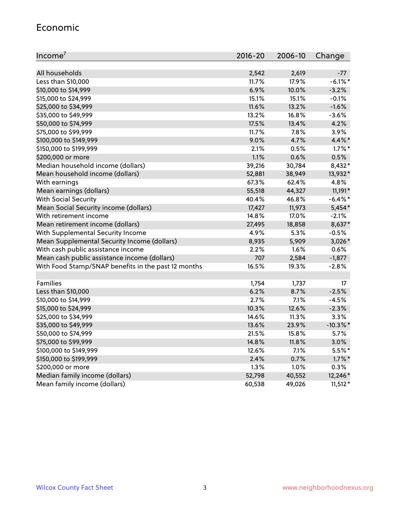#### Economic

| Income <sup>7</sup>                                 | $2016 - 20$ | 2006-10 | Change      |
|-----------------------------------------------------|-------------|---------|-------------|
|                                                     |             |         |             |
| All households                                      | 2,542       | 2,619   | $-77$       |
| Less than \$10,000                                  | 11.7%       | 17.9%   | $-6.1\%$ *  |
| \$10,000 to \$14,999                                | 6.9%        | 10.0%   | $-3.2%$     |
| \$15,000 to \$24,999                                | 15.1%       | 15.1%   | $-0.1%$     |
| \$25,000 to \$34,999                                | 11.6%       | 13.2%   | $-1.6%$     |
| \$35,000 to \$49,999                                | 13.2%       | 16.8%   | $-3.6%$     |
| \$50,000 to \$74,999                                | 17.5%       | 13.4%   | 4.2%        |
| \$75,000 to \$99,999                                | 11.7%       | 7.8%    | 3.9%        |
| \$100,000 to \$149,999                              | 9.0%        | 4.7%    | 4.4%*       |
| \$150,000 to \$199,999                              | 2.1%        | 0.5%    | $1.7\%$ *   |
| \$200,000 or more                                   | 1.1%        | 0.6%    | 0.5%        |
| Median household income (dollars)                   | 39,216      | 30,784  | 8,432*      |
| Mean household income (dollars)                     | 52,881      | 38,949  | 13,932*     |
| With earnings                                       | 67.3%       | 62.4%   | 4.8%        |
| Mean earnings (dollars)                             | 55,518      | 44,327  | 11,191*     |
| <b>With Social Security</b>                         | 40.4%       | 46.8%   | $-6.4\%$ *  |
| Mean Social Security income (dollars)               | 17,427      | 11,973  | $5,454*$    |
| With retirement income                              | 14.8%       | 17.0%   | $-2.1%$     |
| Mean retirement income (dollars)                    | 27,495      | 18,858  | 8,637*      |
| With Supplemental Security Income                   | 4.9%        | 5.3%    | $-0.5%$     |
| Mean Supplemental Security Income (dollars)         | 8,935       | 5,909   | 3,026*      |
| With cash public assistance income                  | 2.2%        | 1.6%    | 0.6%        |
| Mean cash public assistance income (dollars)        | 707         | 2,584   | $-1,877$    |
| With Food Stamp/SNAP benefits in the past 12 months | 16.5%       | 19.3%   | $-2.8%$     |
|                                                     |             |         |             |
| Families                                            | 1,754       | 1,737   | 17          |
| Less than \$10,000                                  | 6.2%        | 8.7%    | $-2.5%$     |
| \$10,000 to \$14,999                                | 2.7%        | 7.1%    | $-4.5%$     |
| \$15,000 to \$24,999                                | 10.3%       | 12.6%   | $-2.3%$     |
| \$25,000 to \$34,999                                | 14.6%       | 11.3%   | 3.3%        |
| \$35,000 to \$49,999                                | 13.6%       | 23.9%   | $-10.3\%$ * |
| \$50,000 to \$74,999                                | 21.5%       | 15.8%   | 5.7%        |
| \$75,000 to \$99,999                                | 14.8%       | 11.8%   | 3.0%        |
| \$100,000 to \$149,999                              | 12.6%       | $7.1\%$ | 5.5%*       |
| \$150,000 to \$199,999                              | 2.4%        | 0.7%    | $1.7\%$ *   |
| \$200,000 or more                                   | 1.3%        | 1.0%    | 0.3%        |
| Median family income (dollars)                      | 52,798      | 40,552  | 12,246*     |
| Mean family income (dollars)                        | 60,538      | 49,026  | $11,512*$   |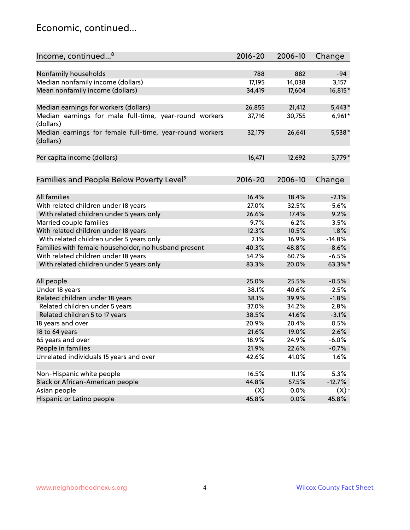### Economic, continued...

| Income, continued <sup>8</sup>                                        | $2016 - 20$ | 2006-10 | Change             |
|-----------------------------------------------------------------------|-------------|---------|--------------------|
|                                                                       |             |         |                    |
| Nonfamily households                                                  | 788         | 882     | $-94$              |
| Median nonfamily income (dollars)                                     | 17,195      | 14,038  | 3,157              |
| Mean nonfamily income (dollars)                                       | 34,419      | 17,604  | 16,815*            |
| Median earnings for workers (dollars)                                 | 26,855      | 21,412  | $5,443*$           |
| Median earnings for male full-time, year-round workers<br>(dollars)   | 37,716      | 30,755  | $6,961*$           |
| Median earnings for female full-time, year-round workers<br>(dollars) | 32,179      | 26,641  | 5,538*             |
| Per capita income (dollars)                                           | 16,471      | 12,692  | $3,779*$           |
|                                                                       |             |         |                    |
| Families and People Below Poverty Level <sup>9</sup>                  | 2016-20     | 2006-10 | Change             |
| <b>All families</b>                                                   | 16.4%       | 18.4%   | $-2.1%$            |
| With related children under 18 years                                  | 27.0%       | 32.5%   | $-5.6%$            |
| With related children under 5 years only                              | 26.6%       | 17.4%   | 9.2%               |
| Married couple families                                               | 9.7%        | 6.2%    | 3.5%               |
| With related children under 18 years                                  | 12.3%       | 10.5%   | 1.8%               |
| With related children under 5 years only                              | 2.1%        | 16.9%   | $-14.8%$           |
| Families with female householder, no husband present                  | 40.3%       | 48.8%   | $-8.6%$            |
| With related children under 18 years                                  | 54.2%       | 60.7%   | $-6.5%$            |
| With related children under 5 years only                              | 83.3%       | 20.0%   | 63.3%*             |
|                                                                       |             |         |                    |
| All people                                                            | 25.0%       | 25.5%   | $-0.5%$            |
| Under 18 years                                                        | 38.1%       | 40.6%   | $-2.5%$            |
| Related children under 18 years                                       | 38.1%       | 39.9%   | $-1.8%$            |
| Related children under 5 years                                        | 37.0%       | 34.2%   | 2.8%               |
| Related children 5 to 17 years                                        | 38.5%       | 41.6%   | $-3.1%$            |
| 18 years and over                                                     | 20.9%       | 20.4%   | 0.5%               |
| 18 to 64 years                                                        | 21.6%       | 19.0%   | 2.6%               |
| 65 years and over                                                     | 18.9%       | 24.9%   | $-6.0%$            |
| People in families                                                    | 21.9%       | 22.6%   | $-0.7%$            |
| Unrelated individuals 15 years and over                               | 42.6%       | 41.0%   | 1.6%               |
|                                                                       |             |         |                    |
| Non-Hispanic white people                                             | 16.5%       | 11.1%   | 5.3%               |
| Black or African-American people                                      | 44.8%       | 57.5%   | $-12.7%$           |
| Asian people                                                          | (X)         | $0.0\%$ | $(X)$ <sup>+</sup> |
| Hispanic or Latino people                                             | 45.8%       | 0.0%    | 45.8%              |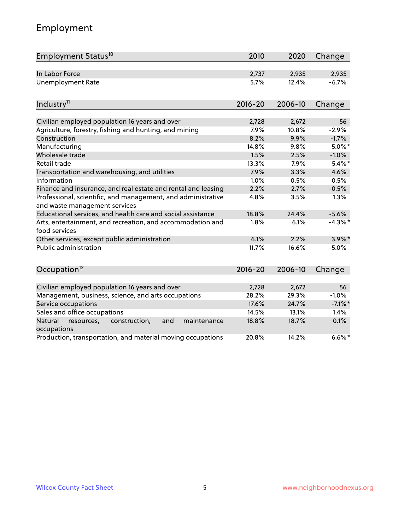# Employment

| Employment Status <sup>10</sup>                                                               | 2010        | 2020    | Change     |
|-----------------------------------------------------------------------------------------------|-------------|---------|------------|
| In Labor Force                                                                                | 2,737       | 2,935   | 2,935      |
| <b>Unemployment Rate</b>                                                                      | 5.7%        | 12.4%   | $-6.7%$    |
| Industry <sup>11</sup>                                                                        | $2016 - 20$ | 2006-10 | Change     |
|                                                                                               |             |         |            |
| Civilian employed population 16 years and over                                                | 2,728       | 2,672   | 56         |
| Agriculture, forestry, fishing and hunting, and mining                                        | 7.9%        | 10.8%   | $-2.9%$    |
| Construction                                                                                  | 8.2%        | 9.9%    | $-1.7%$    |
| Manufacturing                                                                                 | 14.8%       | 9.8%    | $5.0\%$ *  |
| Wholesale trade                                                                               | 1.5%        | 2.5%    | $-1.0%$    |
| Retail trade                                                                                  | 13.3%       | 7.9%    | $5.4\%$ *  |
| Transportation and warehousing, and utilities                                                 | 7.9%        | 3.3%    | 4.6%       |
| Information                                                                                   | 1.0%        | 0.5%    | 0.5%       |
| Finance and insurance, and real estate and rental and leasing                                 | 2.2%        | 2.7%    | $-0.5%$    |
| Professional, scientific, and management, and administrative<br>and waste management services | 4.8%        | 3.5%    | 1.3%       |
| Educational services, and health care and social assistance                                   | 18.8%       | 24.4%   | $-5.6%$    |
| Arts, entertainment, and recreation, and accommodation and<br>food services                   | 1.8%        | 6.1%    | $-4.3%$ *  |
| Other services, except public administration                                                  | 6.1%        | 2.2%    | $3.9\%$ *  |
| <b>Public administration</b>                                                                  | 11.7%       | 16.6%   | $-5.0%$    |
| Occupation <sup>12</sup>                                                                      | $2016 - 20$ | 2006-10 | Change     |
|                                                                                               |             |         |            |
| Civilian employed population 16 years and over                                                | 2,728       | 2,672   | 56         |
| Management, business, science, and arts occupations                                           | 28.2%       | 29.3%   | $-1.0%$    |
| Service occupations                                                                           | 17.6%       | 24.7%   | $-7.1\%$ * |
| Sales and office occupations                                                                  | 14.5%       | 13.1%   | 1.4%       |
| Natural<br>resources,<br>construction,<br>and<br>maintenance<br>occupations                   | 18.8%       | 18.7%   | 0.1%       |
| Production, transportation, and material moving occupations                                   | 20.8%       | 14.2%   | $6.6\%$ *  |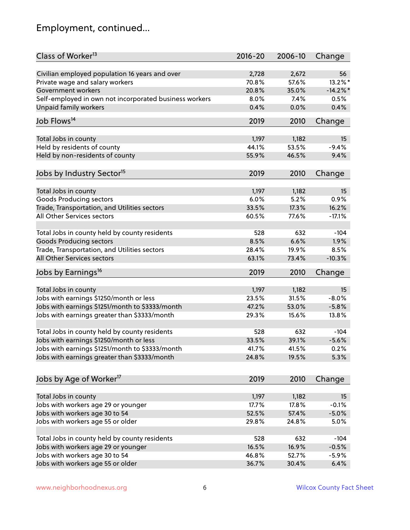# Employment, continued...

| Class of Worker <sup>13</sup>                          | $2016 - 20$ | 2006-10 | Change      |
|--------------------------------------------------------|-------------|---------|-------------|
| Civilian employed population 16 years and over         | 2,728       | 2,672   | 56          |
| Private wage and salary workers                        | 70.8%       | 57.6%   | 13.2%*      |
| Government workers                                     | 20.8%       | 35.0%   | $-14.2\%$ * |
| Self-employed in own not incorporated business workers | 8.0%        | 7.4%    | 0.5%        |
| <b>Unpaid family workers</b>                           | 0.4%        | 0.0%    | 0.4%        |
|                                                        |             |         |             |
| Job Flows <sup>14</sup>                                | 2019        | 2010    | Change      |
| Total Jobs in county                                   | 1,197       | 1,182   | 15          |
| Held by residents of county                            | 44.1%       | 53.5%   | $-9.4%$     |
| Held by non-residents of county                        | 55.9%       | 46.5%   | 9.4%        |
|                                                        |             |         |             |
| Jobs by Industry Sector <sup>15</sup>                  | 2019        | 2010    | Change      |
| Total Jobs in county                                   | 1,197       | 1,182   | 15          |
| Goods Producing sectors                                | 6.0%        | 5.2%    | 0.9%        |
| Trade, Transportation, and Utilities sectors           | 33.5%       | 17.3%   | 16.2%       |
| All Other Services sectors                             | 60.5%       | 77.6%   | $-17.1%$    |
|                                                        |             |         |             |
| Total Jobs in county held by county residents          | 528         | 632     | $-104$      |
| <b>Goods Producing sectors</b>                         | 8.5%        | 6.6%    | 1.9%        |
| Trade, Transportation, and Utilities sectors           | 28.4%       | 19.9%   | 8.5%        |
| All Other Services sectors                             | 63.1%       | 73.4%   | $-10.3%$    |
| Jobs by Earnings <sup>16</sup>                         | 2019        | 2010    | Change      |
|                                                        |             |         | 15          |
| Total Jobs in county                                   | 1,197       | 1,182   |             |
| Jobs with earnings \$1250/month or less                | 23.5%       | 31.5%   | $-8.0%$     |
| Jobs with earnings \$1251/month to \$3333/month        | 47.2%       | 53.0%   | $-5.8%$     |
| Jobs with earnings greater than \$3333/month           | 29.3%       | 15.6%   | 13.8%       |
| Total Jobs in county held by county residents          | 528         | 632     | $-104$      |
| Jobs with earnings \$1250/month or less                | 33.5%       | 39.1%   | $-5.6%$     |
| Jobs with earnings \$1251/month to \$3333/month        | 41.7%       | 41.5%   | 0.2%        |
| Jobs with earnings greater than \$3333/month           | 24.8%       | 19.5%   | 5.3%        |
|                                                        |             |         |             |
| Jobs by Age of Worker <sup>17</sup>                    | 2019        | 2010    | Change      |
| Total Jobs in county                                   | 1,197       | 1,182   | 15          |
| Jobs with workers age 29 or younger                    | 17.7%       | 17.8%   | $-0.1%$     |
| Jobs with workers age 30 to 54                         | 52.5%       | 57.4%   | $-5.0%$     |
| Jobs with workers age 55 or older                      | 29.8%       | 24.8%   | 5.0%        |
|                                                        |             |         |             |
| Total Jobs in county held by county residents          | 528         | 632     | $-104$      |
| Jobs with workers age 29 or younger                    | 16.5%       | 16.9%   | $-0.5%$     |
| Jobs with workers age 30 to 54                         | 46.8%       | 52.7%   | $-5.9%$     |
| Jobs with workers age 55 or older                      | 36.7%       | 30.4%   | 6.4%        |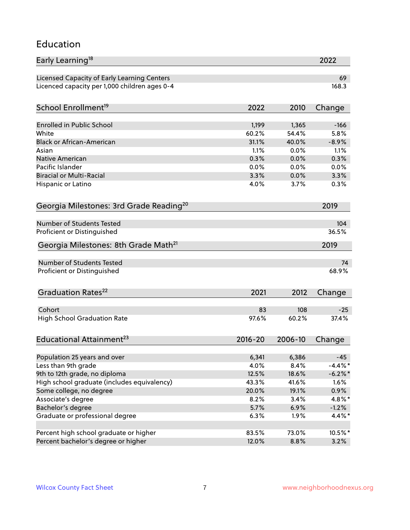#### Education

| Early Learning <sup>18</sup>                        |             |         | 2022       |
|-----------------------------------------------------|-------------|---------|------------|
| Licensed Capacity of Early Learning Centers         |             |         | 69         |
| Licenced capacity per 1,000 children ages 0-4       |             |         | 168.3      |
| School Enrollment <sup>19</sup>                     | 2022        | 2010    | Change     |
|                                                     |             |         |            |
| <b>Enrolled in Public School</b>                    | 1,199       | 1,365   | $-166$     |
| White                                               | 60.2%       | 54.4%   | 5.8%       |
| <b>Black or African-American</b>                    | 31.1%       | 40.0%   | $-8.9%$    |
| Asian                                               | 1.1%        | 0.0%    | 1.1%       |
| <b>Native American</b>                              | 0.3%        | 0.0%    | 0.3%       |
| Pacific Islander                                    | 0.0%        | 0.0%    | 0.0%       |
| <b>Biracial or Multi-Racial</b>                     | 3.3%        | 0.0%    | 3.3%       |
| Hispanic or Latino                                  | 4.0%        | 3.7%    | 0.3%       |
| Georgia Milestones: 3rd Grade Reading <sup>20</sup> |             |         | 2019       |
|                                                     |             |         |            |
| Number of Students Tested                           |             |         | 104        |
| Proficient or Distinguished                         |             |         | 36.5%      |
| Georgia Milestones: 8th Grade Math <sup>21</sup>    |             |         | 2019       |
| Number of Students Tested                           |             |         | 74         |
| Proficient or Distinguished                         |             |         | 68.9%      |
| Graduation Rates <sup>22</sup>                      | 2021        | 2012    | Change     |
| Cohort                                              | 83          | 108     | $-25$      |
| <b>High School Graduation Rate</b>                  | 97.6%       | 60.2%   | 37.4%      |
|                                                     |             |         |            |
| Educational Attainment <sup>23</sup>                | $2016 - 20$ | 2006-10 | Change     |
| Population 25 years and over                        | 6,341       | 6,386   | $-45$      |
| Less than 9th grade                                 | 4.0%        | 8.4%    | $-4.4\%$ * |
| 9th to 12th grade, no diploma                       | 12.5%       | 18.6%   | $-6.2\%$ * |
| High school graduate (includes equivalency)         | 43.3%       | 41.6%   | 1.6%       |
|                                                     |             | 19.1%   |            |
| Some college, no degree                             | 20.0%       |         | $0.9\%$    |
| Associate's degree                                  | 8.2%        | 3.4%    | $4.8\%$ *  |
| Bachelor's degree                                   | 5.7%        | 6.9%    | $-1.2%$    |
| Graduate or professional degree                     | 6.3%        | 1.9%    | $4.4\%$ *  |
| Percent high school graduate or higher              | 83.5%       | 73.0%   | 10.5%*     |
| Percent bachelor's degree or higher                 | 12.0%       | 8.8%    | 3.2%       |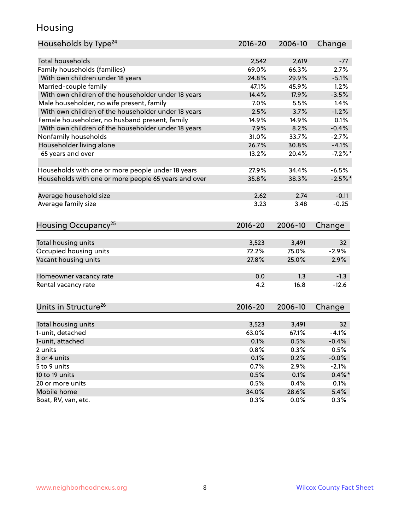### Housing

| Households by Type <sup>24</sup>                     | 2016-20     | 2006-10 | Change          |
|------------------------------------------------------|-------------|---------|-----------------|
|                                                      |             |         |                 |
| <b>Total households</b>                              | 2,542       | 2,619   | -77             |
| Family households (families)                         | 69.0%       | 66.3%   | 2.7%            |
| With own children under 18 years                     | 24.8%       | 29.9%   | $-5.1%$         |
| Married-couple family                                | 47.1%       | 45.9%   | 1.2%            |
| With own children of the householder under 18 years  | 14.4%       | 17.9%   | $-3.5%$         |
| Male householder, no wife present, family            | 7.0%        | 5.5%    | 1.4%            |
| With own children of the householder under 18 years  | 2.5%        | 3.7%    | $-1.2%$         |
| Female householder, no husband present, family       | 14.9%       | 14.9%   | 0.1%            |
| With own children of the householder under 18 years  | 7.9%        | 8.2%    | $-0.4%$         |
| Nonfamily households                                 | 31.0%       | 33.7%   | $-2.7%$         |
| Householder living alone                             | 26.7%       | 30.8%   | $-4.1%$         |
| 65 years and over                                    | 13.2%       | 20.4%   | $-7.2%$ *       |
|                                                      |             |         |                 |
| Households with one or more people under 18 years    | 27.9%       | 34.4%   | $-6.5%$         |
| Households with one or more people 65 years and over | 35.8%       | 38.3%   | $-2.5%$ *       |
|                                                      |             |         |                 |
| Average household size                               | 2.62        | 2.74    | $-0.11$         |
| Average family size                                  | 3.23        | 3.48    | $-0.25$         |
|                                                      |             |         |                 |
| Housing Occupancy <sup>25</sup>                      | $2016 - 20$ | 2006-10 | Change          |
|                                                      |             |         |                 |
| Total housing units                                  | 3,523       | 3,491   | 32              |
| Occupied housing units                               | 72.2%       | 75.0%   | $-2.9%$         |
| Vacant housing units                                 | 27.8%       | 25.0%   | 2.9%            |
|                                                      |             |         |                 |
| Homeowner vacancy rate                               | 0.0         | 1.3     | $-1.3$          |
| Rental vacancy rate                                  | 4.2         | 16.8    | $-12.6$         |
|                                                      |             |         |                 |
|                                                      |             |         |                 |
| Units in Structure <sup>26</sup>                     | $2016 - 20$ | 2006-10 | Change          |
|                                                      |             |         |                 |
| Total housing units                                  | 3,523       | 3,491   | 32 <sub>2</sub> |
| 1-unit, detached                                     | 63.0%       | 67.1%   | $-4.1%$         |
| 1-unit, attached                                     | 0.1%        | 0.5%    | $-0.4%$         |
| 2 units                                              | 0.8%        | 0.3%    | 0.5%            |
| 3 or 4 units                                         | 0.1%        | 0.2%    | $-0.0%$         |
| 5 to 9 units                                         | 0.7%        | 2.9%    | $-2.1%$         |
| 10 to 19 units                                       | 0.5%        | 0.1%    | $0.4\% *$       |
| 20 or more units                                     | 0.5%        | 0.4%    | 0.1%            |
| Mobile home                                          | 34.0%       | 28.6%   | 5.4%            |
| Boat, RV, van, etc.                                  | 0.3%        | 0.0%    | 0.3%            |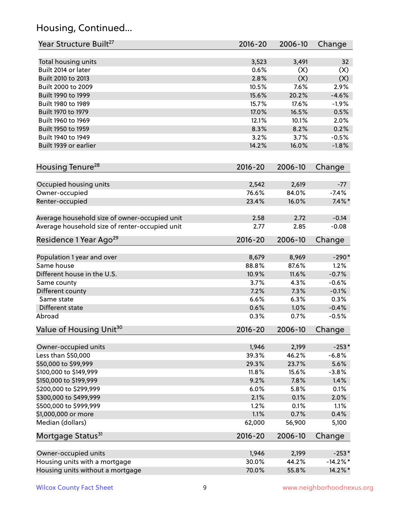# Housing, Continued...

| Year Structure Built <sup>27</sup>             | 2016-20     | 2006-10 | Change      |
|------------------------------------------------|-------------|---------|-------------|
| Total housing units                            | 3,523       | 3,491   | 32          |
| Built 2014 or later                            | 0.6%        | (X)     | (X)         |
| Built 2010 to 2013                             | 2.8%        | (X)     | (X)         |
| Built 2000 to 2009                             | 10.5%       | 7.6%    | 2.9%        |
| Built 1990 to 1999                             | 15.6%       | 20.2%   | $-4.6%$     |
| Built 1980 to 1989                             | 15.7%       | 17.6%   | $-1.9%$     |
| Built 1970 to 1979                             | 17.0%       | 16.5%   | 0.5%        |
| Built 1960 to 1969                             | 12.1%       | 10.1%   | 2.0%        |
| Built 1950 to 1959                             | 8.3%        | 8.2%    | 0.2%        |
| Built 1940 to 1949                             | 3.2%        | 3.7%    | $-0.5%$     |
| Built 1939 or earlier                          | 14.2%       | 16.0%   | $-1.8%$     |
|                                                |             |         |             |
| Housing Tenure <sup>28</sup>                   | $2016 - 20$ | 2006-10 | Change      |
| Occupied housing units                         | 2,542       | 2,619   | $-77$       |
| Owner-occupied                                 | 76.6%       | 84.0%   | $-7.4%$     |
| Renter-occupied                                | 23.4%       | 16.0%   | $7.4\%$ *   |
| Average household size of owner-occupied unit  | 2.58        | 2.72    | $-0.14$     |
| Average household size of renter-occupied unit | 2.77        | 2.85    | $-0.08$     |
| Residence 1 Year Ago <sup>29</sup>             | $2016 - 20$ | 2006-10 | Change      |
|                                                |             |         |             |
| Population 1 year and over                     | 8,679       | 8,969   | $-290*$     |
| Same house                                     | 88.8%       | 87.6%   | 1.2%        |
| Different house in the U.S.                    | 10.9%       | 11.6%   | $-0.7%$     |
| Same county                                    | 3.7%        | 4.3%    | $-0.6%$     |
| Different county                               | 7.2%        | 7.3%    | $-0.1%$     |
| Same state                                     | 6.6%        | 6.3%    | 0.3%        |
| Different state                                | 0.6%        | 1.0%    | $-0.4%$     |
| Abroad                                         | 0.3%        | 0.7%    | $-0.5%$     |
| Value of Housing Unit <sup>30</sup>            | $2016 - 20$ | 2006-10 | Change      |
| Owner-occupied units                           | 1,946       | 2,199   | $-253*$     |
| Less than \$50,000                             | 39.3%       | 46.2%   | $-6.8%$     |
| \$50,000 to \$99,999                           | 29.3%       | 23.7%   | 5.6%        |
| \$100,000 to \$149,999                         | 11.8%       | 15.6%   | $-3.8%$     |
| \$150,000 to \$199,999                         | 9.2%        | 7.8%    | 1.4%        |
| \$200,000 to \$299,999                         | 6.0%        | 5.8%    | 0.1%        |
| \$300,000 to \$499,999                         | 2.1%        | 0.1%    | 2.0%        |
| \$500,000 to \$999,999                         | 1.2%        | 0.1%    | 1.1%        |
| \$1,000,000 or more                            | 1.1%        | 0.7%    | 0.4%        |
| Median (dollars)                               | 62,000      | 56,900  | 5,100       |
| Mortgage Status <sup>31</sup>                  | $2016 - 20$ | 2006-10 | Change      |
| Owner-occupied units                           | 1,946       | 2,199   | $-253*$     |
| Housing units with a mortgage                  | 30.0%       | 44.2%   | $-14.2\%$ * |
| Housing units without a mortgage               | 70.0%       | 55.8%   | 14.2%*      |
|                                                |             |         |             |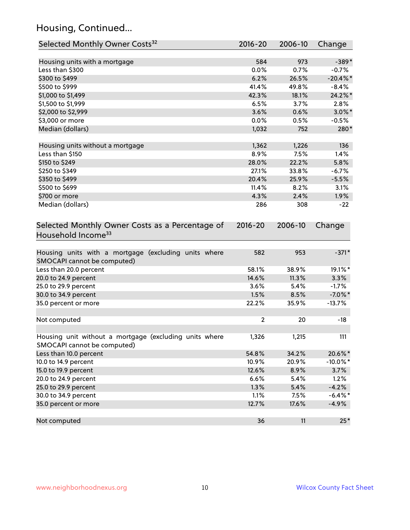# Housing, Continued...

| Selected Monthly Owner Costs <sup>32</sup>                                            | 2016-20      | 2006-10 | Change      |
|---------------------------------------------------------------------------------------|--------------|---------|-------------|
| Housing units with a mortgage                                                         | 584          | 973     | $-389*$     |
| Less than \$300                                                                       | 0.0%         | 0.7%    | $-0.7%$     |
| \$300 to \$499                                                                        | 6.2%         | 26.5%   | $-20.4\%$ * |
| \$500 to \$999                                                                        | 41.4%        | 49.8%   | $-8.4%$     |
| \$1,000 to \$1,499                                                                    | 42.3%        | 18.1%   | 24.2%*      |
| \$1,500 to \$1,999                                                                    | 6.5%         | 3.7%    | 2.8%        |
| \$2,000 to \$2,999                                                                    | 3.6%         | 0.6%    | $3.0\%$ *   |
| \$3,000 or more                                                                       | 0.0%         | 0.5%    | $-0.5%$     |
| Median (dollars)                                                                      | 1,032        | 752     | 280*        |
|                                                                                       |              |         |             |
| Housing units without a mortgage                                                      | 1,362        | 1,226   | 136         |
| Less than \$150                                                                       | 8.9%         | 7.5%    | 1.4%        |
| \$150 to \$249                                                                        | 28.0%        | 22.2%   | 5.8%        |
| \$250 to \$349                                                                        | 27.1%        | 33.8%   | $-6.7%$     |
| \$350 to \$499                                                                        | 20.4%        | 25.9%   | $-5.5%$     |
| \$500 to \$699                                                                        | 11.4%        | 8.2%    | 3.1%        |
| \$700 or more                                                                         | 4.3%         | 2.4%    | 1.9%        |
| Median (dollars)                                                                      | 286          | 308     | $-22$       |
| Selected Monthly Owner Costs as a Percentage of<br>Household Income <sup>33</sup>     | $2016 - 20$  | 2006-10 | Change      |
| Housing units with a mortgage (excluding units where<br>SMOCAPI cannot be computed)   | 582          | 953     | $-371*$     |
| Less than 20.0 percent                                                                | 58.1%        | 38.9%   | 19.1%*      |
| 20.0 to 24.9 percent                                                                  | 14.6%        | 11.3%   | 3.3%        |
| 25.0 to 29.9 percent                                                                  | 3.6%         | 5.4%    | $-1.7%$     |
| 30.0 to 34.9 percent                                                                  | 1.5%         | 8.5%    | $-7.0\%$ *  |
| 35.0 percent or more                                                                  | 22.2%        | 35.9%   | $-13.7%$    |
| Not computed                                                                          | $\mathbf{2}$ | 20      | $-18$       |
|                                                                                       |              |         |             |
| Housing unit without a mortgage (excluding units where<br>SMOCAPI cannot be computed) | 1,326        | 1,215   | 111         |
| Less than 10.0 percent                                                                | 54.8%        | 34.2%   | 20.6%*      |
| 10.0 to 14.9 percent                                                                  | 10.9%        | 20.9%   | $-10.0\%$ * |
| 15.0 to 19.9 percent                                                                  | 12.6%        | 8.9%    | 3.7%        |
| 20.0 to 24.9 percent                                                                  | 6.6%         | 5.4%    | 1.2%        |
| 25.0 to 29.9 percent                                                                  | 1.3%         | 5.4%    | $-4.2%$     |
| 30.0 to 34.9 percent                                                                  | 1.1%         | 7.5%    | $-6.4\%$ *  |
| 35.0 percent or more                                                                  | 12.7%        | 17.6%   | $-4.9%$     |
| Not computed                                                                          | 36           | 11      | $25*$       |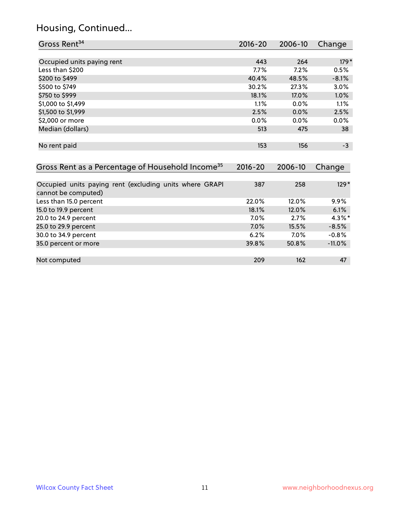# Housing, Continued...

| Gross Rent <sup>34</sup>                                                       | $2016 - 20$ | 2006-10 | Change    |
|--------------------------------------------------------------------------------|-------------|---------|-----------|
|                                                                                |             |         |           |
| Occupied units paying rent                                                     | 443         | 264     | $179*$    |
| Less than \$200                                                                | 7.7%        | 7.2%    | 0.5%      |
| \$200 to \$499                                                                 | 40.4%       | 48.5%   | $-8.1%$   |
| \$500 to \$749                                                                 | 30.2%       | 27.3%   | 3.0%      |
| \$750 to \$999                                                                 | 18.1%       | 17.0%   | 1.0%      |
| \$1,000 to \$1,499                                                             | 1.1%        | 0.0%    | 1.1%      |
| \$1,500 to \$1,999                                                             | 2.5%        | 0.0%    | 2.5%      |
| \$2,000 or more                                                                | 0.0%        | 0.0%    | 0.0%      |
| Median (dollars)                                                               | 513         | 475     | 38        |
| No rent paid                                                                   | 153         | 156     | $-3$      |
|                                                                                |             |         |           |
|                                                                                |             |         |           |
| Gross Rent as a Percentage of Household Income <sup>35</sup>                   | $2016 - 20$ | 2006-10 | Change    |
|                                                                                |             |         |           |
| Occupied units paying rent (excluding units where GRAPI<br>cannot be computed) | 387         | 258     | $129*$    |
| Less than 15.0 percent                                                         | 22.0%       | 12.0%   | 9.9%      |
| 15.0 to 19.9 percent                                                           | 18.1%       | 12.0%   | 6.1%      |
| 20.0 to 24.9 percent                                                           | 7.0%        | 2.7%    | $4.3\%$ * |
| 25.0 to 29.9 percent                                                           | 7.0%        | 15.5%   | $-8.5%$   |
| 30.0 to 34.9 percent                                                           | 6.2%        | 7.0%    | $-0.8%$   |
| 35.0 percent or more                                                           | 39.8%       | 50.8%   | $-11.0%$  |
|                                                                                |             |         |           |

Not computed and the computed and the computed computed and the computed and the computed and the computed and  $47$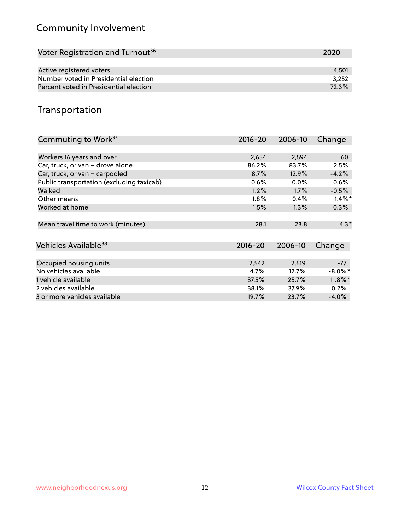# Community Involvement

| Voter Registration and Turnout <sup>36</sup> | 2020  |
|----------------------------------------------|-------|
|                                              |       |
| Active registered voters                     | 4,501 |
| Number voted in Presidential election        | 3.252 |
| Percent voted in Presidential election       | 72.3% |

## Transportation

| Commuting to Work <sup>37</sup>           | 2016-20     | 2006-10 | Change     |
|-------------------------------------------|-------------|---------|------------|
|                                           |             |         |            |
| Workers 16 years and over                 | 2,654       | 2,594   | 60         |
| Car, truck, or van - drove alone          | 86.2%       | 83.7%   | 2.5%       |
| Car, truck, or van - carpooled            | 8.7%        | 12.9%   | $-4.2%$    |
| Public transportation (excluding taxicab) | 0.6%        | $0.0\%$ | 0.6%       |
| Walked                                    | 1.2%        | 1.7%    | $-0.5%$    |
| Other means                               | 1.8%        | 0.4%    | $1.4\%$ *  |
| Worked at home                            | 1.5%        | 1.3%    | 0.3%       |
| Mean travel time to work (minutes)        | 28.1        | 23.8    | $4.3*$     |
| Vehicles Available <sup>38</sup>          | $2016 - 20$ | 2006-10 | Change     |
|                                           |             |         |            |
| Occupied housing units                    | 2,542       | 2,619   | $-77$      |
| No vehicles available                     | 4.7%        | 12.7%   | $-8.0\%$ * |
| 1 vehicle available                       | 37.5%       | 25.7%   | $11.8\%$ * |
| 2 vehicles available                      | 38.1%       | 37.9%   | 0.2%       |
| 3 or more vehicles available              | 19.7%       | 23.7%   | $-4.0\%$   |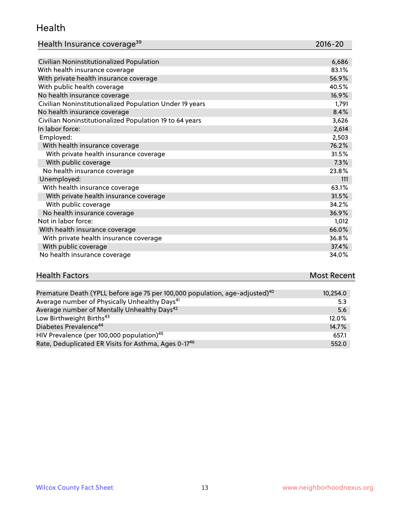#### Health

| Health Insurance coverage <sup>39</sup> | 2016-20 |
|-----------------------------------------|---------|
|-----------------------------------------|---------|

| Civilian Noninstitutionalized Population                | 6,686 |
|---------------------------------------------------------|-------|
| With health insurance coverage                          | 83.1% |
| With private health insurance coverage                  | 56.9% |
| With public health coverage                             | 40.5% |
| No health insurance coverage                            | 16.9% |
| Civilian Noninstitutionalized Population Under 19 years | 1,791 |
| No health insurance coverage                            | 8.4%  |
| Civilian Noninstitutionalized Population 19 to 64 years | 3,626 |
| In labor force:                                         | 2,614 |
| Employed:                                               | 2,503 |
| With health insurance coverage                          | 76.2% |
| With private health insurance coverage                  | 31.5% |
| With public coverage                                    | 7.3%  |
| No health insurance coverage                            | 23.8% |
| Unemployed:                                             | 111   |
| With health insurance coverage                          | 63.1% |
| With private health insurance coverage                  | 31.5% |
| With public coverage                                    | 34.2% |
| No health insurance coverage                            | 36.9% |
| Not in labor force:                                     | 1,012 |
| With health insurance coverage                          | 66.0% |
| With private health insurance coverage                  | 36.8% |
| With public coverage                                    | 37.4% |
| No health insurance coverage                            | 34.0% |

| <b>Health Factors</b> | <b>Most Recent</b>   |
|-----------------------|----------------------|
|                       |                      |
|                       | $\sim$ $\sim$ $\sim$ |

| Premature Death (YPLL before age 75 per 100,000 population, age-adjusted) <sup>40</sup> | 10,254.0 |
|-----------------------------------------------------------------------------------------|----------|
| Average number of Physically Unhealthy Days <sup>41</sup>                               | 5.3      |
| Average number of Mentally Unhealthy Days <sup>42</sup>                                 | 5.6      |
| Low Birthweight Births <sup>43</sup>                                                    | 12.0%    |
| Diabetes Prevalence <sup>44</sup>                                                       | 14.7%    |
| HIV Prevalence (per 100,000 population) <sup>45</sup>                                   | 657.1    |
| Rate, Deduplicated ER Visits for Asthma, Ages 0-17 <sup>46</sup>                        | 552.0    |